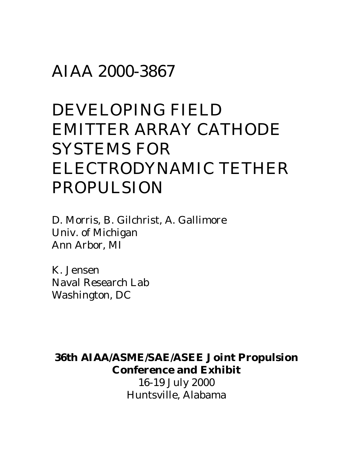## AIAA 2000-3867

# DEVELOPING FIELD EMITTER ARRAY CATHODE SYSTEMS FOR ELECTRODYNAMIC TETHER PROPULSION

D. Morris, B. Gilchrist, A. Gallimore Univ. of Michigan Ann Arbor, MI

K. Jensen Naval Research Lab Washington, DC

**36th AIAA/ASME/SAE/ASEE Joint Propulsion Conference and Exhibit**

> 16-19 July 2000 Huntsville, Alabama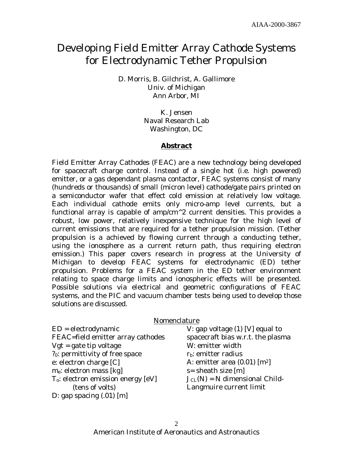### Developing Field Emitter Array Cathode Systems for Electrodynamic Tether Propulsion

D. Morris, B. Gilchrist, A. Gallimore Univ. of Michigan Ann Arbor, MI

> K. Jensen Naval Research Lab Washington, DC

#### **Abstract**

Field Emitter Array Cathodes (FEAC) are a new technology being developed for spacecraft charge control. Instead of a single hot (i.e. high powered) emitter, or a gas dependant plasma contactor, FEAC systems consist of many (hundreds or thousands) of small (micron level) cathode/gate pairs printed on a semiconductor wafer that effect cold emission at relatively low voltage. Each individual cathode emits only micro-amp level currents, but a functional array is capable of amp/cm $\textdegree$ 2 current densities. This provides a robust, low power, relatively inexpensive technique for the high level of current emissions that are required for a tether propulsion mission. (Tether propulsion is a achieved by flowing current through a conducting tether, using the ionosphere as a current return path, thus requiring electron emission.) This paper covers research in progress at the University of Michigan to develop FEAC systems for electrodynamic (ED) tether propulsion. Problems for a FEAC system in the ED tether environment relating to space charge limits and ionospheric effects will be presented. Possible solutions via electrical and geometric configurations of FEAC systems, and the PIC and vacuum chamber tests being used to develop those solutions are discussed.

| Nomenclature                                |                                            |
|---------------------------------------------|--------------------------------------------|
| $ED = electrodynamics$                      | V: gap voltage $(1)$ [V] equal to          |
| FEAC=field emitter array cathodes           | spacecraft bias w.r.t. the plasma          |
| $Vgt = gate tip voltage$                    | W: emitter width                           |
| ? <sub>0</sub> : permittivity of free space | $rb$ : emitter radius                      |
| e: electron charge [C]                      | A: emitter area $(0.01)$ [m <sup>2</sup> ] |
| $m_e$ : electron mass [kg]                  | $s =$ sheath size [m]                      |
| $T_0$ : electron emission energy [eV]       | $JCL(N) = N$ dimensional Child-            |
| (tens of volts)                             | Langmuire current limit                    |
| D: gap spacing $(.01)$ [m]                  |                                            |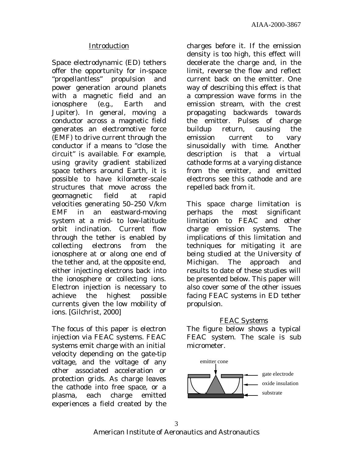#### Introduction

Space electrodynamic (ED) tethers offer the opportunity for in-space "propellantless" propulsion and power generation around planets with a magnetic field and an ionosphere (e.g., Earth and Jupiter). In general, moving a conductor across a magnetic field generates an electromotive force (EMF) to drive current through the conductor if a means to "close the circuit" is available. For example, using gravity gradient stabilized space tethers around Earth, it is possible to have kilometer-scale structures that move across the geomagnetic field at rapid velocities generating 50–250 V/km EMF in an eastward-moving system at a mid- to low-latitude orbit inclination. Current flow through the tether is enabled by collecting electrons from the ionosphere at or along one end of the tether and, at the opposite end, either injecting electrons back into the ionosphere or collecting ions. Electron injection is necessary to achieve the highest possible currents given the low mobility of ions. [Gilchrist, 2000]

The focus of this paper is electron injection via FEAC systems. FEAC systems emit charge with an initial velocity depending on the gate-tip voltage, and the voltage of any other associated acceleration or protection grids. As charge leaves the cathode into free space, or a plasma, each charge emitted experiences a field created by the

charges before it. If the emission density is too high, this effect will decelerate the charge and, in the limit, reverse the flow and reflect current back on the emitter. One way of describing this effect is that a compression wave forms in the emission stream, with the crest propagating backwards towards the emitter. Pulses of charge buildup return, causing the emission current to vary sinusoidally with time. Another description is that a virtual cathode forms at a varying distance from the emitter, and emitted electrons see this cathode and are repelled back from it.

This space charge limitation is perhaps the most significant limitation to FEAC and other charge emission systems. The implications of this limitation and techniques for mitigating it are being studied at the University of Michigan. The approach and results to date of these studies will be presented below. This paper will also cover some of the other issues facing FEAC systems in ED tether propulsion.

#### FEAC Systems

The figure below shows a typical FEAC system. The scale is sub micrometer.

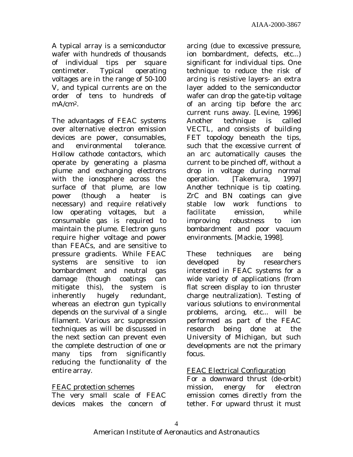A typical array is a semiconductor wafer with hundreds of thousands of individual tips per square centimeter. Typical operating voltages are in the range of 50-100 V, and typical currents are on the order of tens to hundreds of mA/cm2.

The advantages of FEAC systems over alternative electron emission devices are power, consumables, and environmental tolerance. Hollow cathode contactors, which operate by generating a plasma plume and exchanging electrons with the ionosphere across the surface of that plume, are low power (though a heater is necessary) and require relatively low operating voltages, but a consumable gas is required to maintain the plume. Electron guns require higher voltage and power than FEACs, and are sensitive to pressure gradients. While FEAC systems are sensitive to ion bombardment and neutral gas damage (though coatings can mitigate this), the system is inherently hugely redundant, whereas an electron gun typically depends on the survival of a single filament. Various arc suppression techniques as will be discussed in the next section can prevent even the complete destruction of one or many tips from significantly reducing the functionality of the entire array.

#### FEAC protection schemes

The very small scale of FEAC devices makes the concern of arcing (due to excessive pressure, ion bombardment, defects, etc...) significant for individual tips. One technique to reduce the risk of arcing is resistive layers- an extra layer added to the semiconductor wafer can drop the gate-tip voltage of an arcing tip before the arc current runs away. [Levine, 1996] Another technique is called VECTL, and consists of building FET topology beneath the tips, such that the excessive current of an arc automatically causes the current to be pinched off, without a drop in voltage during normal operation. [Takemura, 1997] Another technique is tip coating. ZrC and BN coatings can give stable low work functions to facilitate emission, while improving robustness to ion bombardment and poor vacuum environments. [Mackie, 1998].

These techniques are being developed by researchers interested in FEAC systems for a wide variety of applications (from flat screen display to ion thruster charge neutralization). Testing of various solutions to environmental problems, arcing, etc... will be performed as part of the FEAC research being done at the University of Michigan, but such developments are not the primary focus.

#### FEAC Electrical Configuration

For a downward thrust (de-orbit) mission, energy for electron emission comes directly from the tether. For upward thrust it must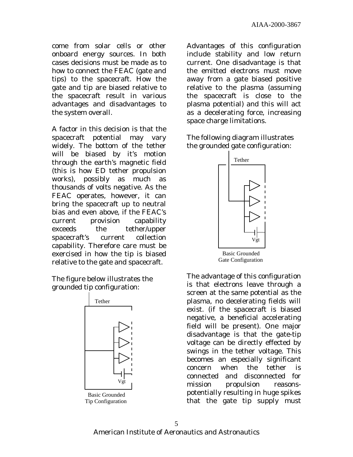come from solar cells or other onboard energy sources. In both cases decisions must be made as to how to connect the FEAC (gate and tips) to the spacecraft. How the gate and tip are biased relative to the spacecraft result in various advantages and disadvantages to the system overall.

A factor in this decision is that the spacecraft potential may vary widely. The bottom of the tether will be biased by it's motion through the earth's magnetic field (this is how ED tether propulsion works), possibly as much as thousands of volts negative. As the FEAC operates, however, it can bring the spacecraft up to neutral bias and even above, if the FEAC's current provision capability exceeds the tether/upper spacecraft's current collection capability. Therefore care must be exercised in how the tip is biased relative to the gate and spacecraft.

The figure below illustrates the grounded tip configuration:



Tip Configuration

Advantages of this configuration include stability and low return current. One disadvantage is that the emitted electrons must move away from a gate biased positive relative to the plasma (assuming the spacecraft is close to the plasma potential) and this will act as a decelerating force, increasing space charge limitations.

The following diagram illustrates the grounded gate configuration:



The advantage of this configuration is that electrons leave through a screen at the same potential as the plasma, no decelerating fields will exist. (if the spacecraft is biased negative, a beneficial accelerating field will be present). One major disadvantage is that the gate-tip voltage can be directly effected by swings in the tether voltage. This becomes an especially significant concern when the tether is connected and disconnected for mission propulsion reasonspotentially resulting in huge spikes that the gate tip supply must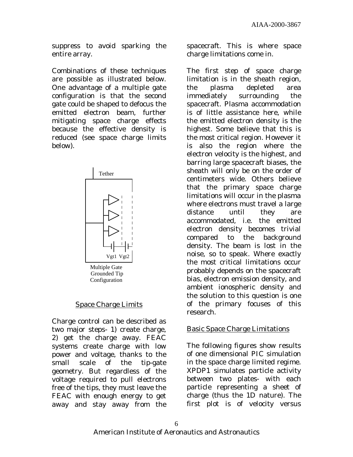suppress to avoid sparking the entire array.

Combinations of these techniques are possible as illustrated below. One advantage of a multiple gate configuration is that the second gate could be shaped to defocus the emitted electron beam, further mitigating space charge effects because the effective density is reduced (see space charge limits below).



#### Space Charge Limits

Charge control can be described as two major steps- 1) create charge, 2) get the charge away. FEAC systems create charge with low power and voltage, thanks to the small scale of the tip-gate geometry. But regardless of the voltage required to pull electrons free of the tips, they must leave the FEAC with enough energy to get away and stay away from the

spacecraft. This is where space charge limitations come in.

The first step of space charge limitation is in the sheath region, the plasma depleted area immediately surrounding the spacecraft. Plasma accommodation is of little assistance here, while the emitted electron density is the highest. Some believe that this is the most critical region. However it is also the region where the electron velocity is the highest, and barring large spacecraft biases, the sheath will only be on the order of centimeters wide. Others believe that the primary space charge limitations will occur in the plasma where electrons must travel a large distance until they are accommodated, i.e. the emitted electron density becomes trivial compared to the background density. The beam is lost in the noise, so to speak. Where exactly the most critical limitations occur probably depends on the spacecraft bias, electron emission density, and ambient ionospheric density and the solution to this question is one of the primary focuses of this research.

#### Basic Space Charge Limitations

The following figures show results of one dimensional PIC simulation in the space charge limited regime. XPDP1 simulates particle activity between two plates- with each particle representing a sheet of charge (thus the 1D nature). The first plot is of velocity versus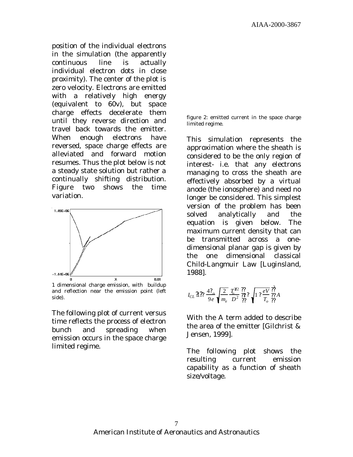position of the individual electrons in the simulation (the apparently continuous line is actually individual electron dots in close proximity). The center of the plot is zero velocity. Electrons are emitted with a relatively high energy (equivalent to 60v), but space charge effects decelerate them until they reverse direction and travel back towards the emitter. When enough electrons have reversed, space charge effects are alleviated and forward motion resumes. Thus the plot below is not a steady state solution but rather a continually shifting distribution. Figure two shows the time variation.



and reflection near the emission point (left side).

The following plot of current versus time reflects the process of electron bunch and spreading when emission occurs in the space charge limited regime.

figure 2: emitted current in the space charge limited regime.

This simulation represents the approximation where the sheath is considered to be the only region of interest- i.e. that any electrons managing to cross the sheath are effectively absorbed by a virtual anode (the ionosphere) and need no longer be considered. This simplest version of the problem has been solved analytically and the equation is given below. The maximum current density that can be transmitted across a onedimensional planar gap is given by the one dimensional classical Child-Langmuir Law [Luginsland, 1988].

$$
I_{CL} \, \mathfrak{A} \, \mathfrak{D} \, \frac{4 \, ?_o}{9 \, e} \, \sqrt{\frac{2}{m_e}} \, \frac{T_o^{3/2}}{D^2} \, \frac{??}{??} \, \sqrt{1 \, ? \, \frac{eV}{T_o}} \, \frac{??}{??} A
$$

With the A term added to describe the area of the emitter [Gilchrist & Jensen, 1999].

The following plot shows the resulting current emission capability as a function of sheath size/voltage.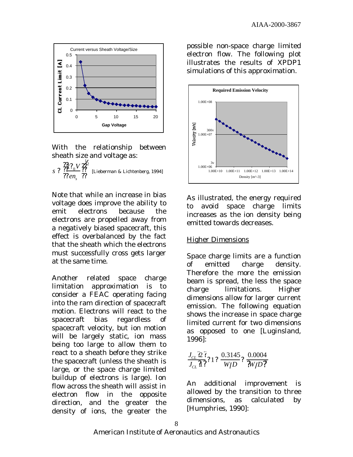

With the relationship between sheath size and voltage as:

 $s$ ?  $\frac{22}{2}$ <sup>2</sup>/<sub>2</sub>*V ens*  $\frac{22}{2}$ ?? <u>?2? v ??</u> ?? ??  $\frac{1}{2}$ [Lieberman & Lichtenberg, 1994]

Note that while an increase in bias voltage does improve the ability to emit electrons because the electrons are propelled away from a negatively biased spacecraft, this effect is overbalanced by the fact that the sheath which the electrons must successfully cross gets larger at the same time.

Another related space charge limitation approximation is to consider a FEAC operating facing into the ram direction of spacecraft motion. Electrons will react to the spacecraft bias regardless of spacecraft velocity, but ion motion will be largely static, ion mass being too large to allow them to react to a sheath before they strike the spacecraft (unless the sheath is large, or the space charge limited buildup of electrons is large). Ion flow across the sheath will assist in electron flow in the opposite direction, and the greater the density of ions, the greater the

possible non-space charge limited electron flow. The following plot illustrates the results of XPDP1 simulations of this approximation.



As illustrated, the energy required to avoid space charge limits increases as the ion density being emitted towards decreases.

#### Higher Dimensions

Space charge limits are a function of emitted charge density. Therefore the more the emission beam is spread, the less the space charge limitations. Higher dimensions allow for larger current emission. The following equation shows the increase in space charge limited current for two dimensions as opposed to one [Luginsland, 1996]:

$$
\frac{J_{CL} \, 2^2}{J_{CL} \, 1^2} ? \, 1 ? \, \frac{0.3145}{W/D} ? \, \frac{0.0004}{W/D ?}
$$

An additional improvement is allowed by the transition to three dimensions, as calculated by [Humphries, 1990]: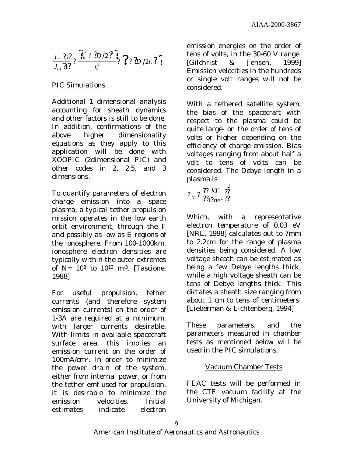$$
\frac{J_{CL}\mathfrak{B}\mathfrak{Z}}{J_{CL}\mathfrak{A}\mathfrak{Z}}\mathfrak{Z}\frac{\mathfrak{Z}_b^2\mathfrak{Z}\mathfrak{Z}D/2\mathfrak{Z}\mathfrak{Z}}{r_b^2}\mathfrak{Z}\mathfrak{Z}\mathfrak{Z}\mathfrak{Z}/2r_b\mathfrak{Z}\mathfrak{Z}
$$

#### PIC Simulations

Additional 1 dimensional analysis accounting for sheath dynamics and other factors is still to be done. In addition, confirmations of the above higher dimensionality equations as they apply to this application will be done with XOOPIC (2dimensional PIC) and other codes in 2, 2.5, and 3 dimensions.

To quantify parameters of electron charge emission into a space plasma, a typical tether propulsion mission operates in the low earth orbit environment, through the F and possibly as low as E regions of the ionosphere. From 100-1000km, ionosphere electron densities are typically within the outer extremes of  $N= 10^8$  to  $10^{13}$  m<sup>-3</sup>. [Tascione, 1988]

For useful propulsion, tether currents (and therefore system emission currents) on the order of 1-3A are required at a minimum, with larger currents desirable. With limits in available spacecraft surface area, this implies an emission current on the order of 100mA/cm2. In order to minimize the power drain of the system, either from internal power, or from the tether emf used for propulsion, it is desirable to minimize the emission velocities. Initial estimates indicate electron

emission energies on the order of tens of volts, in the 30-60 V range. [Gilchrist & Jensen, 1999] Emission velocities in the hundreds or single volt ranges will not be considered.

With a tethered satellite system, the bias of the spacecraft with respect to the plasma could be quite large- on the order of tens of volts or higher depending on the efficiency of charge emission. Bias voltages ranging from about half a volt to tens of volts can be considered. The Debye length in a plasma is

 $?_D ? \frac{?? kT}{?242}$ 4*?ne*<sup>2</sup> ??  $\overline{?}$ ?? ?? 1 2

Which, with a representative electron temperature of 0.03 eV [NRL, 1998] calculates out to 7mm to 2.2cm for the range of plasma densities being considered. A low voltage sheath can be estimated as being a few Debye lengths thick, while a high voltage sheath can be tens of Debye lengths thick. This dictates a sheath size ranging from about 1 cm to tens of centimeters. [Lieberman & Lichtenberg, 1994]

These parameters, and the parameters measured in chamber tests as mentioned below will be used in the PIC simulations.

#### Vacuum Chamber Tests

FEAC tests will be performed in the CTF vacuum facility at the University of Michigan.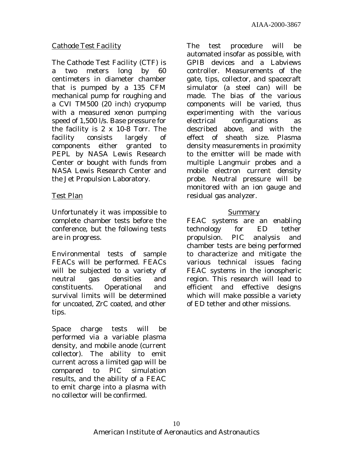#### Cathode Test Facility

The Cathode Test Facility (CTF) is a two meters long by 60 centimeters in diameter chamber that is pumped by a 135 CFM mechanical pump for roughing and a CVI TM500 (20 inch) cryopump with a measured xenon pumping speed of 1,500 l/s. Base pressure for the facility is 2 x 10-8 Torr. The facility consists largely of components either granted to PEPL by NASA Lewis Research Center or bought with funds from NASA Lewis Research Center and the Jet Propulsion Laboratory.

#### Test Plan

Unfortunately it was impossible to complete chamber tests before the conference, but the following tests are in progress.

Environmental tests of sample FEACs will be performed. FEACs will be subjected to a variety of neutral gas densities and constituents. Operational and survival limits will be determined for uncoated, ZrC coated, and other tips.

Space charge tests will be performed via a variable plasma density, and mobile anode (current collector). The ability to emit current across a limited gap will be compared to PIC simulation results, and the ability of a FEAC to emit charge into a plasma with no collector will be confirmed.

The test procedure will be automated insofar as possible, with GPIB devices and a Labviews controller. Measurements of the gate, tips, collector, and spacecraft simulator (a steel can) will be made. The bias of the various components will be varied, thus experimenting with the various electrical configurations as described above, and with the effect of sheath size. Plasma density measurements in proximity to the emitter will be made with multiple Langmuir probes and a mobile electron current density probe. Neutral pressure will be monitored with an ion gauge and residual gas analyzer.

#### Summary

FEAC systems are an enabling technology for ED tether propulsion. PIC analysis and chamber tests are being performed to characterize and mitigate the various technical issues facing FEAC systems in the ionospheric region. This research will lead to efficient and effective designs which will make possible a variety of ED tether and other missions.